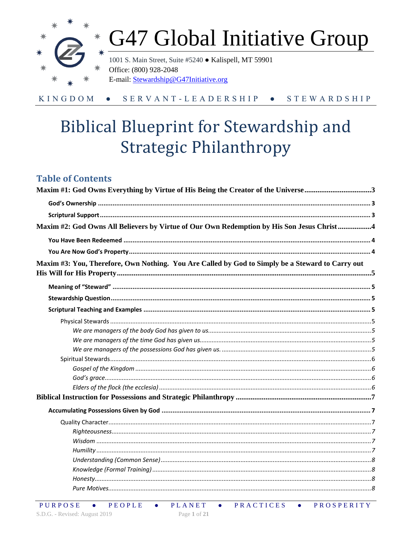

# G47 Global Initiative Group

1001 S. Main Street, Suite #5240 · Kalispell, MT 59901 Office: (800) 928-2048 E-mail: Stewardship@G47Initiative.org

#### **KINGDOM** SERVANT-LEADERSHIP STEWARDSHIP  $\bullet$  $\bullet$

## **Biblical Blueprint for Stewardship and Strategic Philanthropy**

## **Table of Contents**

| Maxim #1: God Owns Everything by Virtue of His Being the Creator of the Universe3                |  |
|--------------------------------------------------------------------------------------------------|--|
|                                                                                                  |  |
|                                                                                                  |  |
| Maxim #2: God Owns All Believers by Virtue of Our Own Redemption by His Son Jesus Christ4        |  |
|                                                                                                  |  |
|                                                                                                  |  |
| Maxim #3: You, Therefore, Own Nothing. You Are Called by God to Simply be a Steward to Carry out |  |
|                                                                                                  |  |
|                                                                                                  |  |
|                                                                                                  |  |
|                                                                                                  |  |
|                                                                                                  |  |
|                                                                                                  |  |
|                                                                                                  |  |
|                                                                                                  |  |
|                                                                                                  |  |
|                                                                                                  |  |
|                                                                                                  |  |
|                                                                                                  |  |
|                                                                                                  |  |
|                                                                                                  |  |
|                                                                                                  |  |
|                                                                                                  |  |
|                                                                                                  |  |
|                                                                                                  |  |
|                                                                                                  |  |
|                                                                                                  |  |
|                                                                                                  |  |

 $\bullet$ 

 $\bullet$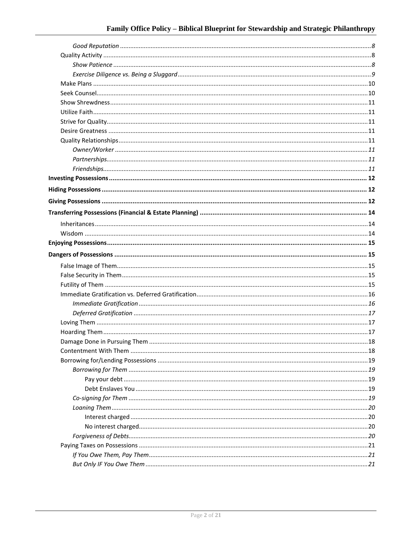| Transferring Possessions (Financial & Estate Planning) ……………………………………………………………………………… 14 |     |
|------------------------------------------------------------------------------------------|-----|
|                                                                                          |     |
|                                                                                          |     |
|                                                                                          |     |
|                                                                                          |     |
|                                                                                          |     |
|                                                                                          |     |
|                                                                                          |     |
|                                                                                          |     |
|                                                                                          |     |
|                                                                                          |     |
|                                                                                          |     |
|                                                                                          |     |
|                                                                                          |     |
| Damage Done in Pursuing Them                                                             | .18 |
|                                                                                          |     |
|                                                                                          |     |
|                                                                                          |     |
|                                                                                          |     |
|                                                                                          |     |
|                                                                                          |     |
|                                                                                          |     |
|                                                                                          |     |
|                                                                                          |     |
|                                                                                          |     |
|                                                                                          |     |
|                                                                                          |     |
|                                                                                          |     |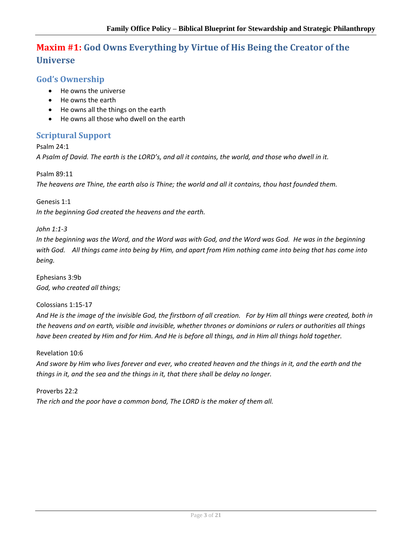## <span id="page-2-0"></span>**Maxim #1: God Owns Everything by Virtue of His Being the Creator of the Universe**

## <span id="page-2-1"></span>**God's Ownership**

- He owns the universe
- He owns the earth
- He owns all the things on the earth
- He owns all those who dwell on the earth

## <span id="page-2-2"></span>**Scriptural Support**

## Psalm 24:1 *A Psalm of David. The earth is the LORD's, and all it contains, the world, and those who dwell in it.*

Psalm 89:11

*The heavens are Thine, the earth also is Thine; the world and all it contains, thou hast founded them.* 

Genesis 1:1

*In the beginning God created the heavens and the earth.* 

*John 1:1-3*

*In the beginning was the Word, and the Word was with God, and the Word was God. He was in the beginning with God. All things came into being by Him, and apart from Him nothing came into being that has come into being.* 

Ephesians 3:9b *God, who created all things;* 

Colossians 1:15-17

*And He is the image of the invisible God, the firstborn of all creation. For by Him all things were created, both in the heavens and on earth, visible and invisible, whether thrones or dominions or rulers or authorities all things have been created by Him and for Him. And He is before all things, and in Him all things hold together.* 

#### Revelation 10:6

*And swore by Him who lives forever and ever, who created heaven and the things in it, and the earth and the things in it, and the sea and the things in it, that there shall be delay no longer.*

Proverbs 22:2 *The rich and the poor have a common bond, The LORD is the maker of them all.*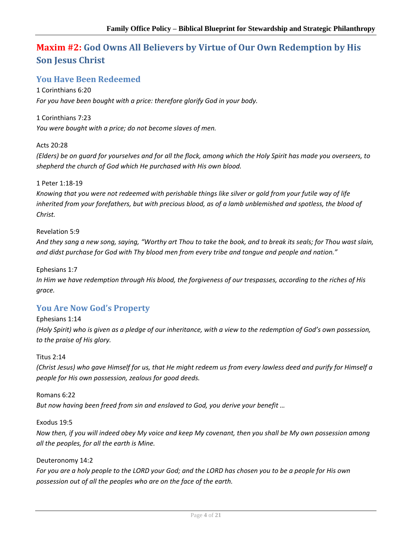## <span id="page-3-0"></span>**Maxim #2: God Owns All Believers by Virtue of Our Own Redemption by His Son Jesus Christ**

## <span id="page-3-1"></span>**You Have Been Redeemed**

1 Corinthians 6:20 *For you have been bought with a price: therefore glorify God in your body.* 

#### 1 Corinthians 7:23

*You were bought with a price; do not become slaves of men.* 

#### Acts 20:28

*(Elders) be on guard for yourselves and for all the flock, among which the Holy Spirit has made you overseers, to shepherd the church of God which He purchased with His own blood.* 

#### 1 Peter 1:18-19

*Knowing that you were not redeemed with perishable things like silver or gold from your futile way of life inherited from your forefathers, but with precious blood, as of a lamb unblemished and spotless, the blood of Christ.* 

#### Revelation 5:9

*And they sang a new song, saying, "Worthy art Thou to take the book, and to break its seals; for Thou wast slain, and didst purchase for God with Thy blood men from every tribe and tongue and people and nation."* 

Ephesians 1:7

*In Him we have redemption through His blood, the forgiveness of our trespasses, according to the riches of His grace.* 

## <span id="page-3-2"></span>**You Are Now God's Property**

Ephesians 1:14 *(Holy Spirit) who is given as a pledge of our inheritance, with a view to the redemption of God's own possession, to the praise of His glory.* 

Titus 2:14

*(Christ Jesus) who gave Himself for us, that He might redeem us from every lawless deed and purify for Himself a people for His own possession, zealous for good deeds.* 

Romans 6:22 *But now having been freed from sin and enslaved to God, you derive your benefit …*

Exodus 19:5

*Now then, if you will indeed obey My voice and keep My covenant, then you shall be My own possession among all the peoples, for all the earth is Mine.* 

#### Deuteronomy 14:2

*For you are a holy people to the LORD your God; and the LORD has chosen you to be a people for His own possession out of all the peoples who are on the face of the earth.*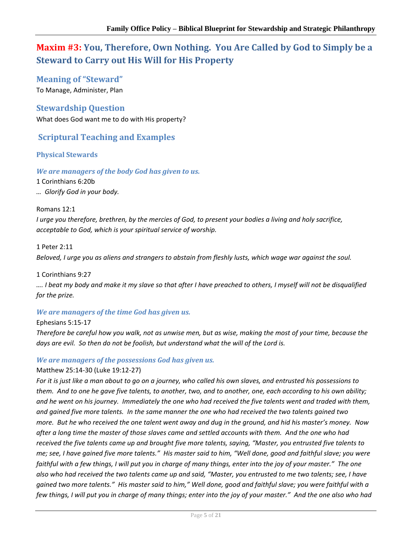## <span id="page-4-0"></span>**Maxim #3: You, Therefore, Own Nothing. You Are Called by God to Simply be a Steward to Carry out His Will for His Property**

<span id="page-4-1"></span>**Meaning of "Steward"** To Manage, Administer, Plan

## <span id="page-4-2"></span>**Stewardship Question**

What does God want me to do with His property?

## <span id="page-4-3"></span>**Scriptural Teaching and Examples**

#### <span id="page-4-4"></span>**Physical Stewards**

<span id="page-4-5"></span>*We are managers of the body God has given to us.*

1 Corinthians 6:20b *… Glorify God in your body.* 

#### Romans 12:1

*I urge you therefore, brethren, by the mercies of God, to present your bodies a living and holy sacrifice, acceptable to God, which is your spiritual service of worship.* 

1 Peter 2:11 *Beloved, I urge you as aliens and strangers to abstain from fleshly lusts, which wage war against the soul.* 

1 Corinthians 9:27

*…. I beat my body and make it my slave so that after I have preached to others, I myself will not be disqualified for the prize.*

<span id="page-4-6"></span>*We are managers of the time God has given us.*

#### Ephesians 5:15-17

*Therefore be careful how you walk, not as unwise men, but as wise, making the most of your time, because the days are evil. So then do not be foolish, but understand what the will of the Lord is.* 

#### <span id="page-4-7"></span>*We are managers of the possessions God has given us.*

#### Matthew 25:14-30 (Luke 19:12-27)

*For it is just like a man about to go on a journey, who called his own slaves, and entrusted his possessions to them. And to one he gave five talents, to another, two, and to another, one, each according to his own ability; and he went on his journey. Immediately the one who had received the five talents went and traded with them, and gained five more talents. In the same manner the one who had received the two talents gained two more. But he who received the one talent went away and dug in the ground, and hid his master's money. Now after a long time the master of those slaves came and settled accounts with them. And the one who had received the five talents came up and brought five more talents, saying, "Master, you entrusted five talents to me; see, I have gained five more talents." His master said to him, "Well done, good and faithful slave; you were*  faithful with a few things, I will put you in charge of many things, enter into the joy of your master." The one *also who had received the two talents came up and said, "Master, you entrusted to me two talents; see, I have gained two more talents." His master said to him," Well done, good and faithful slave; you were faithful with a few things, I will put you in charge of many things; enter into the joy of your master." And the one also who had*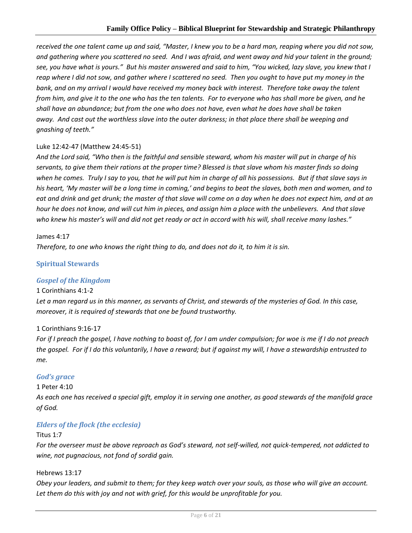*received the one talent came up and said, "Master, I knew you to be a hard man, reaping where you did not sow, and gathering where you scattered no seed. And I was afraid, and went away and hid your talent in the ground; see, you have what is yours." But his master answered and said to him, "You wicked, lazy slave, you knew that I reap where I did not sow, and gather where I scattered no seed. Then you ought to have put my money in the bank, and on my arrival I would have received my money back with interest. Therefore take away the talent from him, and give it to the one who has the ten talents. For to everyone who has shall more be given, and he shall have an abundance; but from the one who does not have, even what he does have shall be taken away. And cast out the worthless slave into the outer darkness; in that place there shall be weeping and gnashing of teeth."* 

#### Luke 12:42-47 (Matthew 24:45-51)

*And the Lord said, "Who then is the faithful and sensible steward, whom his master will put in charge of his servants, to give them their rations at the proper time? Blessed is that slave whom his master finds so doing when he comes. Truly I say to you, that he will put him in charge of all his possessions. But if that slave says in his heart, 'My master will be a long time in coming,' and begins to beat the slaves, both men and women, and to eat and drink and get drunk; the master of that slave will come on a day when he does not expect him, and at an hour he does not know, and will cut him in pieces, and assign him a place with the unbelievers. And that slave who knew his master's will and did not get ready or act in accord with his will, shall receive many lashes."* 

#### James 4:17

*Therefore, to one who knows the right thing to do, and does not do it, to him it is sin.* 

#### <span id="page-5-0"></span>**Spiritual Stewards**

#### <span id="page-5-1"></span>*Gospel of the Kingdom*

#### 1 Corinthians 4:1-2

*Let a man regard us in this manner, as servants of Christ, and stewards of the mysteries of God. In this case, moreover, it is required of stewards that one be found trustworthy.* 

#### 1 Corinthians 9:16-17

*For if I preach the gospel, I have nothing to boast of, for I am under compulsion; for woe is me if I do not preach the gospel. For if I do this voluntarily, I have a reward; but if against my will, I have a stewardship entrusted to me.* 

#### <span id="page-5-2"></span>*God's grace*

#### 1 Peter 4:10

*As each one has received a special gift, employ it in serving one another, as good stewards of the manifold grace of God.*

#### <span id="page-5-3"></span>*Elders of the flock (the ecclesia)*

#### Titus 1:7

*For the overseer must be above reproach as God's steward, not self-willed, not quick-tempered, not addicted to wine, not pugnacious, not fond of sordid gain.* 

#### Hebrews 13:17

*Obey your leaders, and submit to them; for they keep watch over your souls, as those who will give an account. Let them do this with joy and not with grief, for this would be unprofitable for you.*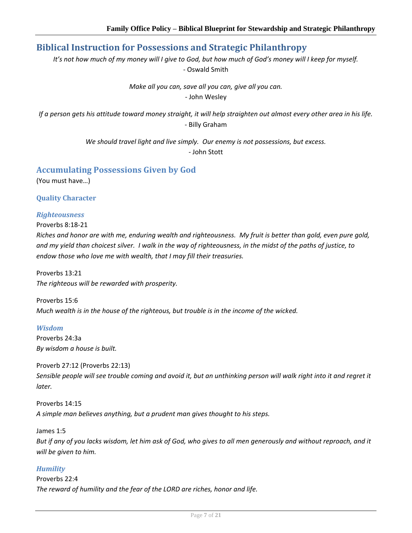## <span id="page-6-0"></span>**Biblical Instruction for Possessions and Strategic Philanthropy**

*It's not how much of my money will I give to God, but how much of God's money will I keep for myself.* - Oswald Smith

> *Make all you can, save all you can, give all you can.* - John Wesley

*If a person gets his attitude toward money straight, it will help straighten out almost every other area in his life.* - Billy Graham

> *We should travel light and live simply. Our enemy is not possessions, but excess.* - John Stott

## <span id="page-6-1"></span>**Accumulating Possessions Given by God**

(You must have…)

<span id="page-6-2"></span>**Quality Character**

#### <span id="page-6-3"></span>*Righteousness*

#### Proverbs 8:18-21

*Riches and honor are with me, enduring wealth and righteousness. My fruit is better than gold, even pure gold, and my yield than choicest silver. I walk in the way of righteousness, in the midst of the paths of justice, to endow those who love me with wealth, that I may fill their treasuries.* 

Proverbs 13:21 *The righteous will be rewarded with prosperity.* 

Proverbs 15:6 *Much wealth is in the house of the righteous, but trouble is in the income of the wicked.* 

#### <span id="page-6-4"></span>*Wisdom*

Proverbs 24:3a *By wisdom a house is built.* 

Proverb 27:12 (Proverbs 22:13) *Sensible people will see trouble coming and avoid it, but an unthinking person will walk right into it and regret it later.* 

Proverbs 14:15 *A simple man believes anything, but a prudent man gives thought to his steps.* 

#### James 1:5

*But if any of you lacks wisdom, let him ask of God, who gives to all men generously and without reproach, and it will be given to him.* 

#### <span id="page-6-5"></span>*Humility*

Proverbs 22:4 *The reward of humility and the fear of the LORD are riches, honor and life.*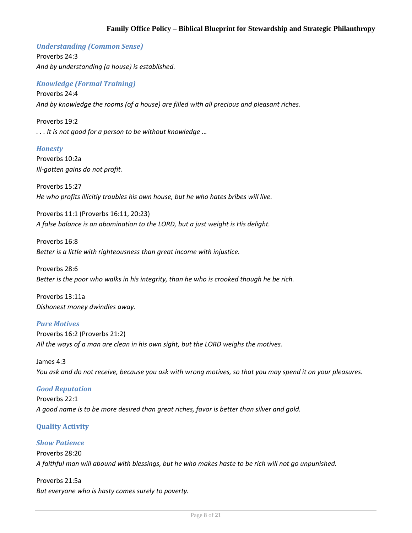#### <span id="page-7-0"></span>*Understanding (Common Sense)*

Proverbs 24:3 *And by understanding (a house) is established.* 

<span id="page-7-1"></span>*Knowledge (Formal Training)* Proverbs 24:4 *And by knowledge the rooms (of a house) are filled with all precious and pleasant riches.* 

#### Proverbs 19:2

*. . . It is not good for a person to be without knowledge …*

#### <span id="page-7-2"></span>*Honesty*

Proverbs 10:2a *Ill-gotten gains do not profit.* 

Proverbs 15:27 *He who profits illicitly troubles his own house, but he who hates bribes will live.* 

Proverbs 11:1 (Proverbs 16:11, 20:23) *A false balance is an abomination to the LORD, but a just weight is His delight.* 

Proverbs 16:8 *Better is a little with righteousness than great income with injustice.* 

Proverbs 28:6 *Better is the poor who walks in his integrity, than he who is crooked though he be rich.* 

Proverbs 13:11a *Dishonest money dwindles away.* 

#### <span id="page-7-3"></span>*Pure Motives*

Proverbs 16:2 (Proverbs 21:2) *All the ways of a man are clean in his own sight, but the LORD weighs the motives.* 

James 4:3 *You ask and do not receive, because you ask with wrong motives, so that you may spend it on your pleasures.* 

#### <span id="page-7-4"></span>*Good Reputation*

Proverbs 22:1 *A good name is to be more desired than great riches, favor is better than silver and gold.* 

#### <span id="page-7-5"></span>**Quality Activity**

#### <span id="page-7-6"></span>*Show Patience*

## Proverbs 28:20 *A faithful man will abound with blessings, but he who makes haste to be rich will not go unpunished.*

#### Proverbs 21:5a *But everyone who is hasty comes surely to poverty.*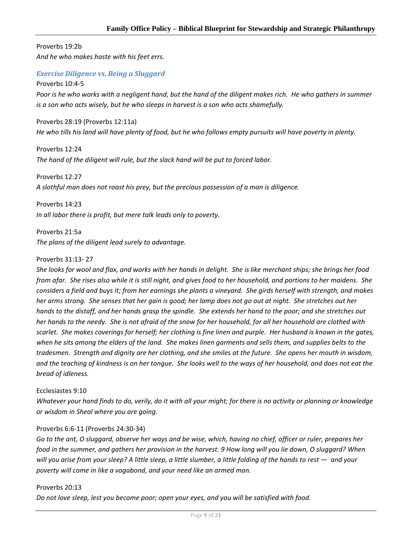#### Proverbs 19:2b *And he who makes haste with his feet errs.*

### <span id="page-8-0"></span>*Exercise Diligence vs. Being a Sluggard*

Proverbs 10:4-5 *Poor is he who works with a negligent hand, but the hand of the diligent makes rich. He who gathers in summer is a son who acts wisely, but he who sleeps in harvest is a son who acts shamefully.* 

Proverbs 28:19 (Proverbs 12:11a) *He who tills his land will have plenty of food, but he who follows empty pursuits will have poverty in plenty.* 

Proverbs 12:24 *The hand of the diligent will rule, but the slack hand will be put to forced labor.* 

Proverbs 12:27 *A slothful man does not roast his prey, but the precious possession of a man is diligence.* 

Proverbs 14:23 *In all labor there is profit, but mere talk leads only to poverty.* 

Proverbs 21:5a *The plans of the diligent lead surely to advantage.* 

#### Proverbs 31:13- 27

*She looks for wool and flax, and works with her hands in delight. She is like merchant ships; she brings her food from afar. She rises also while it is still night, and gives food to her household, and portions to her maidens. She considers a field and buys it; from her earnings she plants a vineyard. She girds herself with strength, and makes her arms strong. She senses that her gain is good; her lamp does not go out at night. She stretches out her hands to the distaff, and her hands grasp the spindle. She extends her hand to the poor; and she stretches out her hands to the needy. She is not afraid of the snow for her household, for all her household are clothed with scarlet. She makes coverings for herself; her clothing is fine linen and purple. Her husband is known in the gates, when he sits among the elders of the land. She makes linen garments and sells them, and supplies belts to the tradesmen. Strength and dignity are her clothing, and she smiles at the future. She opens her mouth in wisdom, and the teaching of kindness is on her tongue. She looks well to the ways of her household, and does not eat the bread of idleness.* 

#### Ecclesiastes 9:10

*Whatever your hand finds to do, verily, do it with all your might; for there is no activity or planning or knowledge or wisdom in Sheol where you are going.* 

#### Proverbs 6:6-11 (Proverbs 24:30-34)

*Go to the ant, O sluggard, observe her ways and be wise, which, having no chief, officer or ruler, prepares her food in the summer, and gathers her provision in the harvest. 9 How long will you lie down, O sluggard? When will you arise from your sleep? A little sleep, a little slumber, a little folding of the hands to rest — and your poverty will come in like a vagabond, and your need like an armed man.* 

#### Proverbs 20:13

*Do not love sleep, lest you become poor; open your eyes, and you will be satisfied with food.*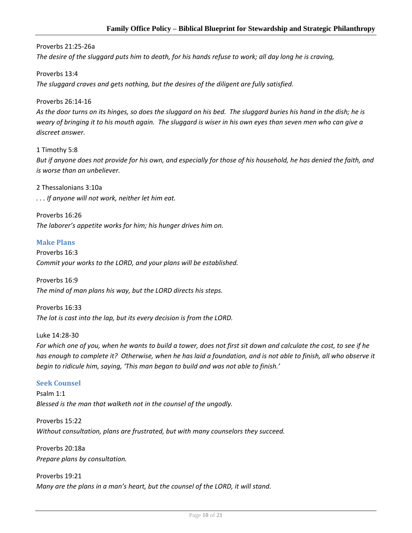#### Proverbs 21:25-26a

*The desire of the sluggard puts him to death, for his hands refuse to work; all day long he is craving,* 

Proverbs 13:4

*The sluggard craves and gets nothing, but the desires of the diligent are fully satisfied.* 

#### Proverbs 26:14-16

*As the door turns on its hinges, so does the sluggard on his bed. The sluggard buries his hand in the dish; he is weary of bringing it to his mouth again. The sluggard is wiser in his own eyes than seven men who can give a discreet answer.* 

#### 1 Timothy 5:8

*But if anyone does not provide for his own, and especially for those of his household, he has denied the faith, and is worse than an unbeliever.* 

2 Thessalonians 3:10a

*. . . If anyone will not work, neither let him eat.* 

Proverbs 16:26 *The laborer's appetite works for him; his hunger drives him on.* 

#### <span id="page-9-0"></span>**Make Plans**

Proverbs 16:3 *Commit your works to the LORD, and your plans will be established.* 

Proverbs 16:9 *The mind of man plans his way, but the LORD directs his steps.* 

## Proverbs 16:33 *The lot is cast into the lap, but its every decision is from the LORD.*

#### Luke 14:28-30

*For which one of you, when he wants to build a tower, does not first sit down and calculate the cost, to see if he has enough to complete it? Otherwise, when he has laid a foundation, and is not able to finish, all who observe it begin to ridicule him, saying, 'This man began to build and was not able to finish.'* 

#### <span id="page-9-1"></span>**Seek Counsel**

Psalm 1:1 *Blessed is the man that walketh not in the counsel of the ungodly.* 

Proverbs 15:22 *Without consultation, plans are frustrated, but with many counselors they succeed.* 

Proverbs 20:18a *Prepare plans by consultation.* 

Proverbs 19:21 *Many are the plans in a man's heart, but the counsel of the LORD, it will stand.*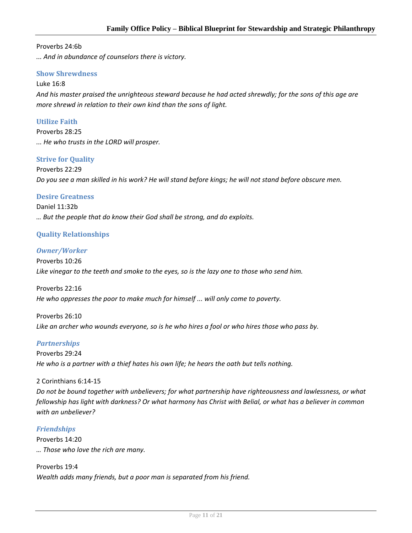### Proverbs 24:6b

*... And in abundance of counselors there is victory.* 

#### <span id="page-10-0"></span>**Show Shrewdness**

#### Luke 16:8

*And his master praised the unrighteous steward because he had acted shrewdly; for the sons of this age are more shrewd in relation to their own kind than the sons of light.* 

#### <span id="page-10-1"></span>**Utilize Faith**

Proverbs 28:25 *... He who trusts in the LORD will prosper.* 

#### <span id="page-10-2"></span>**Strive for Quality**

Proverbs 22:29 *Do you see a man skilled in his work? He will stand before kings; he will not stand before obscure men.* 

#### <span id="page-10-3"></span>**Desire Greatness**

Daniel 11:32b *… But the people that do know their God shall be strong, and do exploits.* 

#### <span id="page-10-4"></span>**Quality Relationships**

#### <span id="page-10-5"></span>*Owner/Worker*

Proverbs 10:26 *Like vinegar to the teeth and smoke to the eyes, so is the lazy one to those who send him.* 

#### Proverbs 22:16

*He who oppresses the poor to make much for himself ... will only come to poverty.* 

Proverbs 26:10 *Like an archer who wounds everyone, so is he who hires a fool or who hires those who pass by.* 

#### <span id="page-10-6"></span>*Partnerships*

## Proverbs 29:24 *He who is a partner with a thief hates his own life; he hears the oath but tells nothing.*

#### 2 Corinthians 6:14-15

*Do not be bound together with unbelievers; for what partnership have righteousness and lawlessness, or what fellowship has light with darkness? Or what harmony has Christ with Belial, or what has a believer in common with an unbeliever?* 

#### <span id="page-10-7"></span>*Friendships*

Proverbs 14:20 *… Those who love the rich are many.* 

Proverbs 19:4 *Wealth adds many friends, but a poor man is separated from his friend.*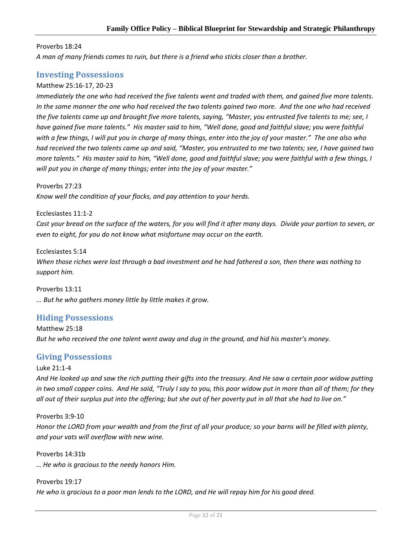#### Proverbs 18:24

*A man of many friends comes to ruin, but there is a friend who sticks closer than a brother.* 

#### <span id="page-11-0"></span>**Investing Possessions**

#### Matthew 25:16-17, 20-23

*Immediately the one who had received the five talents went and traded with them, and gained five more talents. In the same manner the one who had received the two talents gained two more. And the one who had received the five talents came up and brought five more talents, saying, "Master, you entrusted five talents to me; see, I*  have gained five more talents." His master said to him, "Well done, good and faithful slave; you were faithful *with a few things, I will put you in charge of many things, enter into the joy of your master." The one also who had received the two talents came up and said, "Master, you entrusted to me two talents; see, I have gained two more talents."* His master said to him, "Well done, good and faithful slave; you were faithful with a few things, I *will put you in charge of many things; enter into the joy of your master."* 

Proverbs 27:23

*Know well the condition of your flocks, and pay attention to your herds.* 

#### Ecclesiastes 11:1-2

*Cast your bread on the surface of the waters, for you will find it after many days. Divide your portion to seven, or even to eight, for you do not know what misfortune may occur on the earth.* 

Ecclesiastes 5:14

*When those riches were lost through a bad investment and he had fathered a son, then there was nothing to support him.* 

Proverbs 13:11 *... But he who gathers money little by little makes it grow.* 

#### <span id="page-11-1"></span>**Hiding Possessions**

Matthew 25:18 *But he who received the one talent went away and dug in the ground, and hid his master's money.* 

#### <span id="page-11-2"></span>**Giving Possessions**

#### Luke 21:1-4

*And He looked up and saw the rich putting their gifts into the treasury. And He saw a certain poor widow putting in two small copper coins. And He said, "Truly I say to you, this poor widow put in more than all of them; for they all out of their surplus put into the offering; but she out of her poverty put in all that she had to live on."* 

#### Proverbs 3:9-10

*Honor the LORD from your wealth and from the first of all your produce; so your barns will be filled with plenty, and your vats will overflow with new wine.* 

Proverbs 14:31b *… He who is gracious to the needy honors Him.* 

Proverbs 19:17 *He who is gracious to a poor man lends to the LORD, and He will repay him for his good deed.*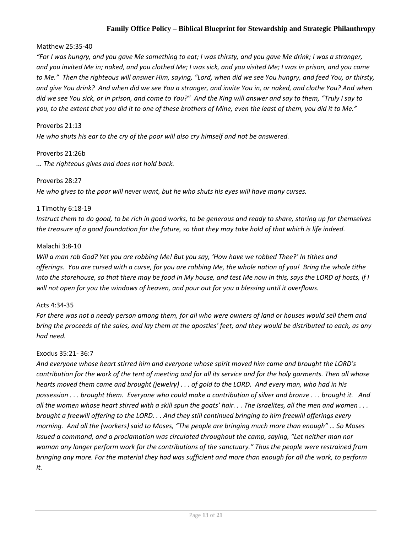#### Matthew 25:35-40

*"For I was hungry, and you gave Me something to eat; I was thirsty, and you gave Me drink; I was a stranger, and you invited Me in; naked, and you clothed Me; I was sick, and you visited Me; I was in prison, and you came to Me." Then the righteous will answer Him, saying, "Lord, when did we see You hungry, and feed You, or thirsty, and give You drink? And when did we see You a stranger, and invite You in, or naked, and clothe You? And when did we see You sick, or in prison, and come to You?" And the King will answer and say to them, "Truly I say to you, to the extent that you did it to one of these brothers of Mine, even the least of them, you did it to Me."* 

#### Proverbs 21:13

*He who shuts his ear to the cry of the poor will also cry himself and not be answered.* 

#### Proverbs 21:26b

*... The righteous gives and does not hold back.* 

#### Proverbs 28:27

*He who gives to the poor will never want, but he who shuts his eyes will have many curses.* 

#### 1 Timothy 6:18-19

*Instruct them to do good, to be rich in good works, to be generous and ready to share, storing up for themselves the treasure of a good foundation for the future, so that they may take hold of that which is life indeed.* 

#### Malachi 3:8-10

*Will a man rob God? Yet you are robbing Me! But you say, 'How have we robbed Thee?' In tithes and offerings. You are cursed with a curse, for you are robbing Me, the whole nation of you! Bring the whole tithe into the storehouse, so that there may be food in My house, and test Me now in this, says the LORD of hosts, if I will not open for you the windows of heaven, and pour out for you a blessing until it overflows.* 

#### Acts 4:34-35

*For there was not a needy person among them, for all who were owners of land or houses would sell them and bring the proceeds of the sales, and lay them at the apostles' feet; and they would be distributed to each, as any had need.* 

#### Exodus 35:21- 36:7

*And everyone whose heart stirred him and everyone whose spirit moved him came and brought the LORD's contribution for the work of the tent of meeting and for all its service and for the holy garments. Then all whose hearts moved them came and brought (jewelry) . . . of gold to the LORD. And every man, who had in his possession . . . brought them. Everyone who could make a contribution of silver and bronze . . . brought it. And all the women whose heart stirred with a skill spun the goats' hair. . . The Israelites, all the men and women . . . brought a freewill offering to the LORD. . . And they still continued bringing to him freewill offerings every morning. And all the (workers) said to Moses, "The people are bringing much more than enough" … So Moses issued a command, and a proclamation was circulated throughout the camp, saying, "Let neither man nor woman any longer perform work for the contributions of the sanctuary." Thus the people were restrained from bringing any more. For the material they had was sufficient and more than enough for all the work, to perform it.*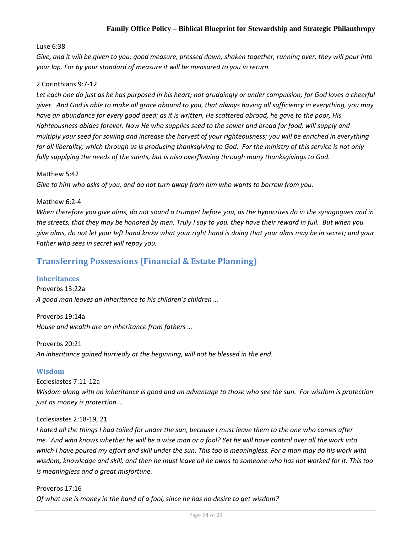#### Luke 6:38

*Give, and it will be given to you; good measure, pressed down, shaken together, running over, they will pour into your lap. For by your standard of measure it will be measured to you in return.* 

#### 2 Corinthians 9:7-12

Let each one do just as he has purposed in his heart; not grudgingly or under compulsion; for God loves a cheerful *giver. And God is able to make all grace abound to you, that always having all sufficiency in everything, you may have an abundance for every good deed; as it is written, He scattered abroad, he gave to the poor, His righteousness abides forever. Now He who supplies seed to the sower and bread for food, will supply and multiply your seed for sowing and increase the harvest of your righteousness; you will be enriched in everything for all liberality, which through us is producing thanksgiving to God. For the ministry of this service is not only fully supplying the needs of the saints, but is also overflowing through many thanksgivings to God.* 

#### Matthew 5:42

*Give to him who asks of you, and do not turn away from him who wants to borrow from you.* 

#### Matthew 6:2-4

*When therefore you give alms, do not sound a trumpet before you, as the hypocrites do in the synagogues and in the streets, that they may be honored by men. Truly I say to you, they have their reward in full. But when you give alms, do not let your left hand know what your right hand is doing that your alms may be in secret; and your Father who sees in secret will repay you.* 

## <span id="page-13-0"></span>**Transferring Possessions (Financial & Estate Planning)**

#### <span id="page-13-1"></span>**Inheritances**

Proverbs 13:22a *A good man leaves an inheritance to his children's children …*

Proverbs 19:14a *House and wealth are an inheritance from fathers …*

Proverbs 20:21 *An inheritance gained hurriedly at the beginning, will not be blessed in the end.* 

#### <span id="page-13-2"></span>**Wisdom**

Ecclesiastes 7:11-12a

*Wisdom along with an inheritance is good and an advantage to those who see the sun. For wisdom is protection just as money is protection …*

#### Ecclesiastes 2:18-19, 21

*I hated all the things I had toiled for under the sun, because I must leave them to the one who comes after me. And who knows whether he will be a wise man or a fool? Yet he will have control over all the work into which I have poured my effort and skill under the sun. This too is meaningless. For a man may do his work with wisdom, knowledge and skill, and then he must leave all he owns to someone who has not worked for it. This too is meaningless and a great misfortune.* 

#### Proverbs 17:16

*Of what use is money in the hand of a fool, since he has no desire to get wisdom?*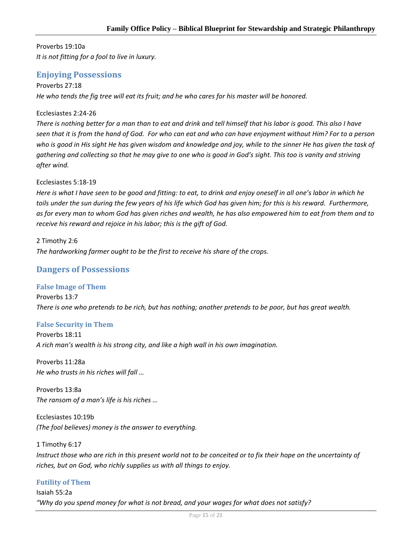## Proverbs 19:10a

*It is not fitting for a fool to live in luxury.* 

## <span id="page-14-0"></span>**Enjoying Possessions**

Proverbs 27:18 *He who tends the fig tree will eat its fruit; and he who cares for his master will be honored.* 

#### Ecclesiastes 2:24-26

*There is nothing better for a man than to eat and drink and tell himself that his labor is good. This also I have seen that it is from the hand of God. For who can eat and who can have enjoyment without Him? For to a person who is good in His sight He has given wisdom and knowledge and joy, while to the sinner He has given the task of gathering and collecting so that he may give to one who is good in God's sight. This too is vanity and striving after wind.* 

#### Ecclesiastes 5:18-19

*Here is what I have seen to be good and fitting: to eat, to drink and enjoy oneself in all one's labor in which he toils under the sun during the few years of his life which God has given him; for this is his reward. Furthermore, as for every man to whom God has given riches and wealth, he has also empowered him to eat from them and to receive his reward and rejoice in his labor; this is the gift of God.* 

## 2 Timothy 2:6 *The hardworking farmer ought to be the first to receive his share of the crops.*

## <span id="page-14-1"></span>**Dangers of Possessions**

#### <span id="page-14-2"></span>**False Image of Them**

Proverbs 13:7 *There is one who pretends to be rich, but has nothing; another pretends to be poor, but has great wealth.* 

#### <span id="page-14-3"></span>**False Security in Them**

Proverbs 18:11 *A rich man's wealth is his strong city, and like a high wall in his own imagination.* 

Proverbs 11:28a *He who trusts in his riches will fall …*

Proverbs 13:8a *The ransom of a man's life is his riches …*

Ecclesiastes 10:19b *(The fool believes) money is the answer to everything.* 

#### 1 Timothy 6:17

*Instruct those who are rich in this present world not to be conceited or to fix their hope on the uncertainty of riches, but on God, who richly supplies us with all things to enjoy.* 

## <span id="page-14-4"></span>**Futility of Them**

Isaiah 55:2a *"Why do you spend money for what is not bread, and your wages for what does not satisfy?*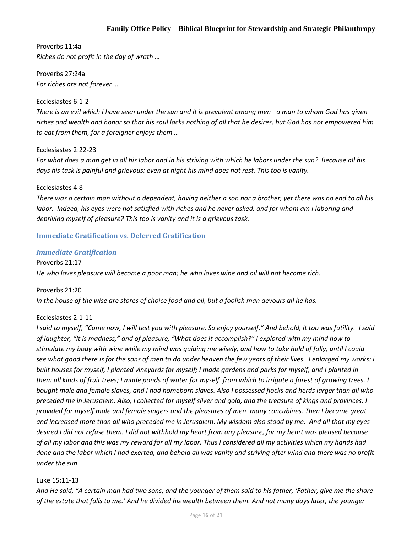Proverbs 11:4a *Riches do not profit in the day of wrath …*

Proverbs 27:24a *For riches are not forever …*

#### Ecclesiastes 6:1-2

*There is an evil which I have seen under the sun and it is prevalent among men– a man to whom God has given riches and wealth and honor so that his soul lacks nothing of all that he desires, but God has not empowered him to eat from them, for a foreigner enjoys them …*

#### Ecclesiastes 2:22-23

*For what does a man get in all his labor and in his striving with which he labors under the sun? Because all his days his task is painful and grievous; even at night his mind does not rest. This too is vanity.* 

#### Ecclesiastes 4:8

*There was a certain man without a dependent, having neither a son nor a brother, yet there was no end to all his labor. Indeed, his eyes were not satisfied with riches and he never asked, and for whom am I laboring and depriving myself of pleasure? This too is vanity and it is a grievous task.* 

#### <span id="page-15-0"></span>**Immediate Gratification vs. Deferred Gratification**

#### <span id="page-15-1"></span>*Immediate Gratification*

Proverbs 21:17 *He who loves pleasure will become a poor man; he who loves wine and oil will not become rich.* 

Proverbs 21:20 *In the house of the wise are stores of choice food and oil, but a foolish man devours all he has.* 

#### Ecclesiastes 2:1-11

*I* said to myself, "Come now, I will test you with pleasure. So enjoy yourself." And behold, it too was futility. I said *of laughter, "It is madness," and of pleasure, "What does it accomplish?" I explored with my mind how to stimulate my body with wine while my mind was guiding me wisely, and how to take hold of folly, until I could*  see what good there is for the sons of men to do under heaven the few years of their lives. I enlarged my works: I *built houses for myself, I planted vineyards for myself; I made gardens and parks for myself, and I planted in them all kinds of fruit trees; I made ponds of water for myself from which to irrigate a forest of growing trees. I bought male and female slaves, and I had homeborn slaves. Also I possessed flocks and herds larger than all who preceded me in Jerusalem. Also, I collected for myself silver and gold, and the treasure of kings and provinces. I provided for myself male and female singers and the pleasures of men–many concubines. Then I became great and increased more than all who preceded me in Jerusalem. My wisdom also stood by me. And all that my eyes desired I did not refuse them. I did not withhold my heart from any pleasure, for my heart was pleased because of all my labor and this was my reward for all my labor. Thus I considered all my activities which my hands had done and the labor which I had exerted, and behold all was vanity and striving after wind and there was no profit under the sun.*

Luke 15:11-13

*And He said, "A certain man had two sons; and the younger of them said to his father, 'Father, give me the share of the estate that falls to me.' And he divided his wealth between them. And not many days later, the younger*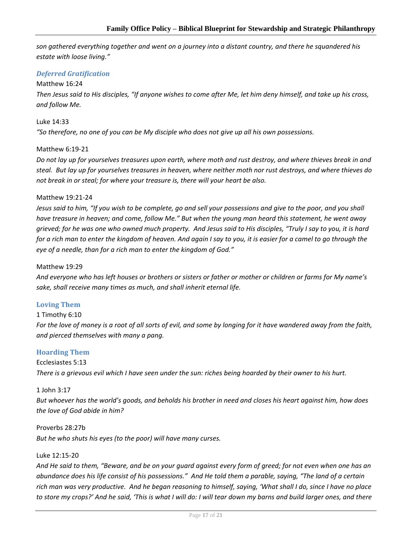*son gathered everything together and went on a journey into a distant country, and there he squandered his estate with loose living."* 

#### <span id="page-16-0"></span>*Deferred Gratification*

#### Matthew 16:24

*Then Jesus said to His disciples, "If anyone wishes to come after Me, let him deny himself, and take up his cross, and follow Me.* 

#### Luke 14:33

*"So therefore, no one of you can be My disciple who does not give up all his own possessions.* 

#### Matthew 6:19-21

*Do not lay up for yourselves treasures upon earth, where moth and rust destroy, and where thieves break in and steal. But lay up for yourselves treasures in heaven, where neither moth nor rust destroys, and where thieves do not break in or steal; for where your treasure is, there will your heart be also.* 

#### Matthew 19:21-24

*Jesus said to him, "If you wish to be complete, go and sell your possessions and give to the poor, and you shall have treasure in heaven; and come, follow Me." But when the young man heard this statement, he went away grieved; for he was one who owned much property. And Jesus said to His disciples, "Truly I say to you, it is hard*  for a rich man to enter the kingdom of heaven. And again I say to you, it is easier for a camel to go through the *eye of a needle, than for a rich man to enter the kingdom of God."* 

#### Matthew 19:29

*And everyone who has left houses or brothers or sisters or father or mother or children or farms for My name's sake, shall receive many times as much, and shall inherit eternal life.*

#### <span id="page-16-1"></span>**Loving Them**

#### 1 Timothy 6:10

*For the love of money is a root of all sorts of evil, and some by longing for it have wandered away from the faith, and pierced themselves with many a pang.* 

#### <span id="page-16-2"></span>**Hoarding Them**

Ecclesiastes 5:13 *There is a grievous evil which I have seen under the sun: riches being hoarded by their owner to his hurt.* 

#### 1 John 3:17

*But whoever has the world's goods, and beholds his brother in need and closes his heart against him, how does the love of God abide in him?* 

#### Proverbs 28:27b

*But he who shuts his eyes (to the poor) will have many curses.* 

#### Luke 12:15-20

*And He said to them, "Beware, and be on your guard against every form of greed; for not even when one has an abundance does his life consist of his possessions." And He told them a parable, saying, "The land of a certain rich man was very productive. And he began reasoning to himself, saying, 'What shall I do, since I have no place to store my crops?' And he said, 'This is what I will do: I will tear down my barns and build larger ones, and there*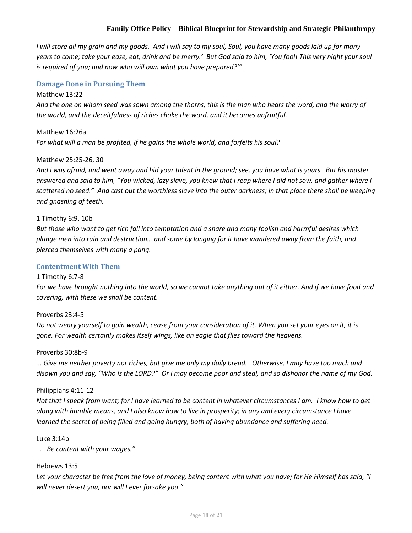*I will store all my grain and my goods. And I will say to my soul, Soul, you have many goods laid up for many years to come; take your ease, eat, drink and be merry.' But God said to him, 'You fool! This very night your soul is required of you; and now who will own what you have prepared?'"* 

#### <span id="page-17-0"></span>**Damage Done in Pursuing Them**

#### Matthew 13:22

*And the one on whom seed was sown among the thorns, this is the man who hears the word, and the worry of the world, and the deceitfulness of riches choke the word, and it becomes unfruitful.* 

Matthew 16:26a *For what will a man be profited, if he gains the whole world, and forfeits his soul?* 

#### Matthew 25:25-26, 30

*And I was afraid, and went away and hid your talent in the ground; see, you have what is yours. But his master answered and said to him, "You wicked, lazy slave, you knew that I reap where I did not sow, and gather where I scattered no seed." And cast out the worthless slave into the outer darkness; in that place there shall be weeping and gnashing of teeth.* 

#### 1 Timothy 6:9, 10b

*But those who want to get rich fall into temptation and a snare and many foolish and harmful desires which plunge men into ruin and destruction… and some by longing for it have wandered away from the faith, and pierced themselves with many a pang.* 

#### <span id="page-17-1"></span>**Contentment With Them**

#### 1 Timothy 6:7-8

For we have brought nothing into the world, so we cannot take anything out of it either. And if we have food and *covering, with these we shall be content.* 

#### Proverbs 23:4-5

*Do not weary yourself to gain wealth, cease from your consideration of it. When you set your eyes on it, it is gone. For wealth certainly makes itself wings, like an eagle that flies toward the heavens.* 

#### Proverbs 30:8b-9

*... Give me neither poverty nor riches, but give me only my daily bread. Otherwise, I may have too much and disown you and say, "Who is the LORD?" Or I may become poor and steal, and so dishonor the name of my God.* 

#### Philippians 4:11-12

*Not that I speak from want; for I have learned to be content in whatever circumstances I am. I know how to get along with humble means, and I also know how to live in prosperity; in any and every circumstance I have learned the secret of being filled and going hungry, both of having abundance and suffering need.* 

#### Luke 3:14b

*. . . Be content with your wages."* 

#### Hebrews 13:5

*Let your character be free from the love of money, being content with what you have; for He Himself has said, "I will never desert you, nor will I ever forsake you."*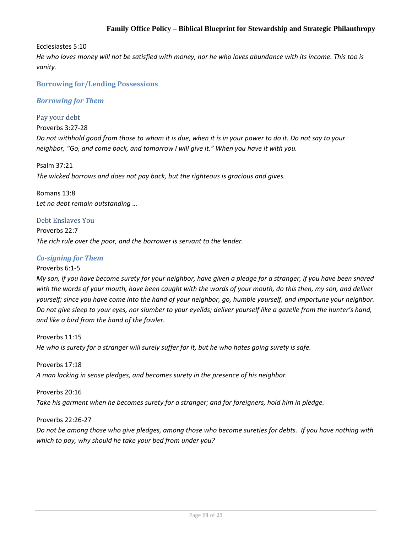#### Ecclesiastes 5:10

*He who loves money will not be satisfied with money, nor he who loves abundance with its income. This too is vanity.* 

<span id="page-18-0"></span>**Borrowing for/Lending Possessions**

#### <span id="page-18-1"></span>*Borrowing for Them*

<span id="page-18-2"></span>Pay your debt Proverbs 3:27-28 *Do not withhold good from those to whom it is due, when it is in your power to do it. Do not say to your neighbor, "Go, and come back, and tomorrow I will give it." When you have it with you.* 

Psalm 37:21 *The wicked borrows and does not pay back, but the righteous is gracious and gives.* 

Romans 13:8 *Let no debt remain outstanding …*

<span id="page-18-3"></span>Debt Enslaves You Proverbs 22:7 *The rich rule over the poor, and the borrower is servant to the lender.* 

#### <span id="page-18-4"></span>*Co-signing for Them*

#### Proverbs 6:1-5

*My son, if you have become surety for your neighbor, have given a pledge for a stranger, if you have been snared with the words of your mouth, have been caught with the words of your mouth, do this then, my son, and deliver yourself; since you have come into the hand of your neighbor, go, humble yourself, and importune your neighbor. Do not give sleep to your eyes, nor slumber to your eyelids; deliver yourself like a gazelle from the hunter's hand, and like a bird from the hand of the fowler.* 

Proverbs 11:15 *He who is surety for a stranger will surely suffer for it, but he who hates going surety is safe.* 

Proverbs 17:18 *A man lacking in sense pledges, and becomes surety in the presence of his neighbor.* 

Proverbs 20:16 *Take his garment when he becomes surety for a stranger; and for foreigners, hold him in pledge.* 

#### Proverbs 22:26-27

*Do not be among those who give pledges, among those who become sureties for debts. If you have nothing with which to pay, why should he take your bed from under you?*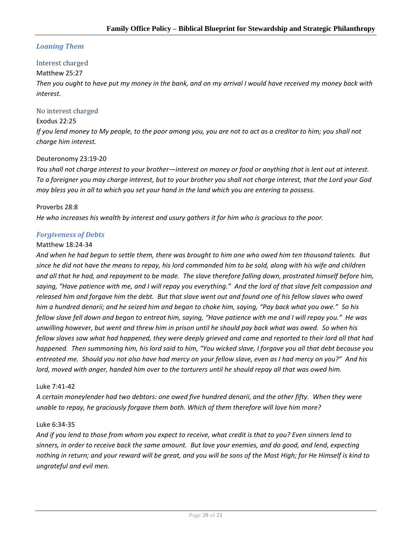#### <span id="page-19-0"></span>*Loaning Them*

#### <span id="page-19-1"></span>Interest charged

#### Matthew 25:27

*Then you ought to have put my money in the bank, and on my arrival I would have received my money back with interest.* 

#### <span id="page-19-2"></span>No interest charged

#### Exodus 22:25

*If you lend money to My people, to the poor among you, you are not to act as a creditor to him; you shall not charge him interest.* 

#### Deuteronomy 23:19-20

*You shall not charge interest to your brother—interest on money or food or anything that is lent out at interest. To a foreigner you may charge interest, but to your brother you shall not charge interest, that the Lord your God may bless you in all to which you set your hand in the land which you are entering to possess.*

#### Proverbs 28:8

*He who increases his wealth by interest and usury gathers it for him who is gracious to the poor.* 

#### <span id="page-19-3"></span>*Forgiveness of Debts*

#### Matthew 18:24-34

*And when he had begun to settle them, there was brought to him one who owed him ten thousand talents. But since he did not have the means to repay, his lord commanded him to be sold, along with his wife and children and all that he had, and repayment to be made. The slave therefore falling down, prostrated himself before him, saying, "Have patience with me, and I will repay you everything." And the lord of that slave felt compassion and released him and forgave him the debt. But that slave went out and found one of his fellow slaves who owed him a hundred denarii; and he seized him and began to choke him, saying, "Pay back what you owe." So his fellow slave fell down and began to entreat him, saying, "Have patience with me and I will repay you." He was unwilling however, but went and threw him in prison until he should pay back what was owed. So when his fellow slaves saw what had happened, they were deeply grieved and came and reported to their lord all that had happened. Then summoning him, his lord said to him, "You wicked slave, I forgave you all that debt because you entreated me. Should you not also have had mercy on your fellow slave, even as I had mercy on you?" And his lord, moved with anger, handed him over to the torturers until he should repay all that was owed him.* 

#### Luke 7:41-42

*A certain moneylender had two debtors: one owed five hundred denarii, and the other fifty. When they were unable to repay, he graciously forgave them both. Which of them therefore will love him more?* 

#### Luke 6:34-35

*And if you lend to those from whom you expect to receive, what credit is that to you? Even sinners lend to sinners, in order to receive back the same amount. But love your enemies, and do good, and lend, expecting nothing in return; and your reward will be great, and you will be sons of the Most High; for He Himself is kind to ungrateful and evil men.*